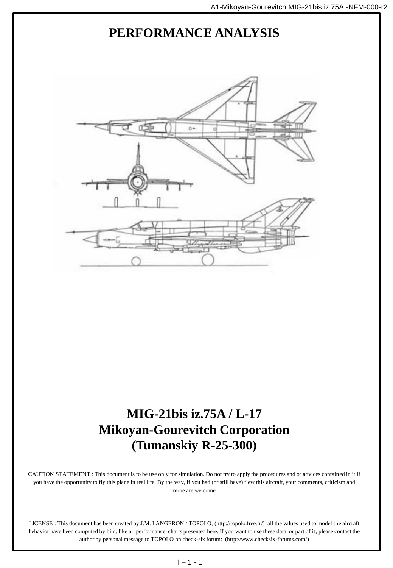

## **MIG-21bis iz.75A / L-17 Mikoyan-Gourevitch Corporation (Tumanskiy R-25-300)**

CAUTION STATEMENT : This document is to be use only for simulation. Do not try to apply the procedures and or advices contained in it if you have the opportunity to fly this plane in real life. By the way, if you had (or still have) flew this aircraft, your comments, criticism and more are welcome

LICENSE : This document has been created by J.M. LANGERON / TOPOLO, (http://topolo.free.fr/) all the values used to model the aircraft behavior have been computed by him, like all performance charts presented here. If you want to use these data, or part of it, please contact the author by personal message to TOPOLO on check-six forum: (http://www.checksix-forums.com/)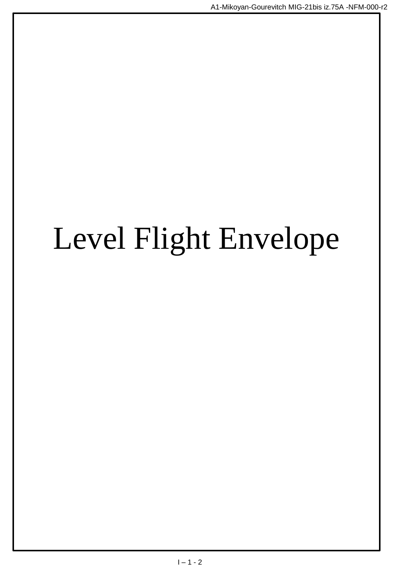# Level Flight Envelope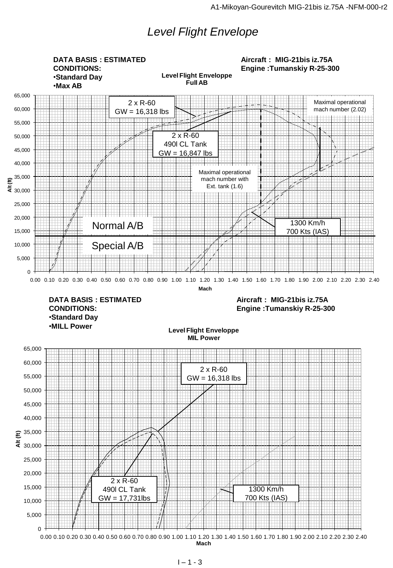## *Level Flight Envelope*

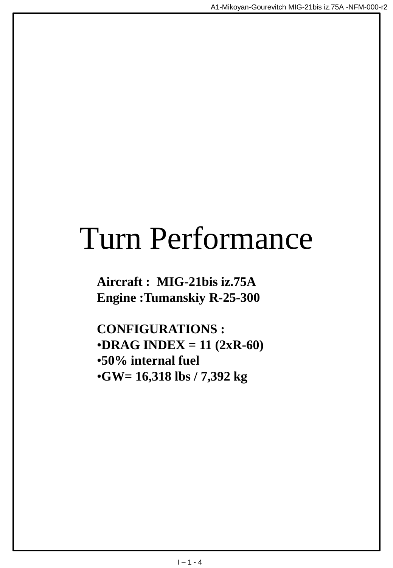## Turn Performance

**Aircraft : MIG-21bis iz.75A Engine :Tumanskiy R-25-300**

**CONFIGURATIONS :** •**DRAG INDEX = 11 (2xR-60)** •**50% internal fuel** •**GW= 16,318 lbs / 7,392 kg**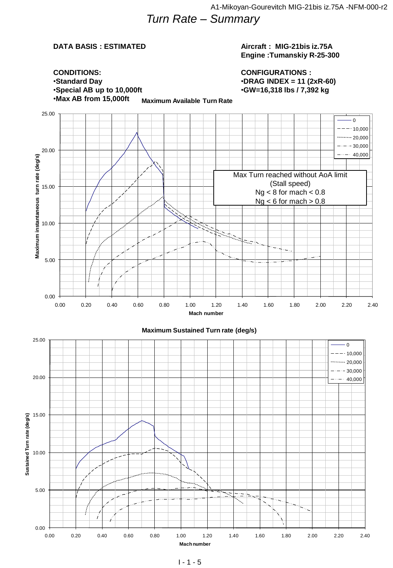### **DATA BASIS : ESTIMATED**

#### **Aircraft : MIG-21bis iz.75A Engine :Tumanskiy R-25-300**

**CONFIGURATIONS :** •**DRAG INDEX = 11 (2xR-60)** •**GW=16,318 lbs / 7,392 kg**

**CONDITIONS:** •**Standard Day** •**Special AB up to 10,000ft** •**Max AB from 15,000ft**

**Maximum Available Turn Rate**

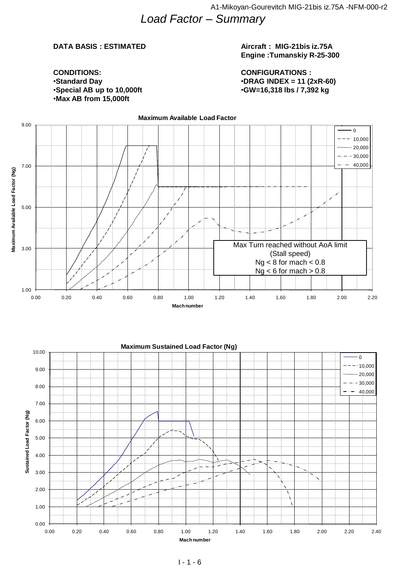#### **DATA BASIS : ESTIMATED**

•**Special AB up to 10,000ft**

**CONDITIONS:** •**Standard Day**

#### **Aircraft : MIG-21bis iz.75A Engine :Tumanskiy R-25-300**

**CONFIGURATIONS :** •**DRAG INDEX = 11 (2xR-60)** •**GW=16,318 lbs / 7,392 kg**

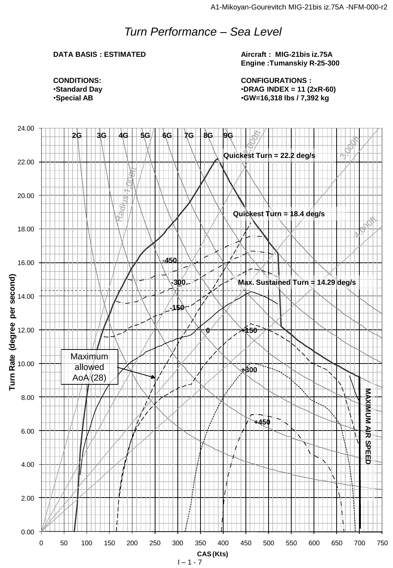## *Turn Performance – Sea Level*

#### **DATA BASIS : ESTIMATED**

**Aircraft : MIG-21bis iz.75A Engine :Tumanskiy R-25-300**

**CONFIGURATIONS :** •**DRAG INDEX = 11 (2xR-60)** •**GW=16,318 lbs / 7,392 kg**

**CONDITIONS:** •**Standard Day** •**Special AB**

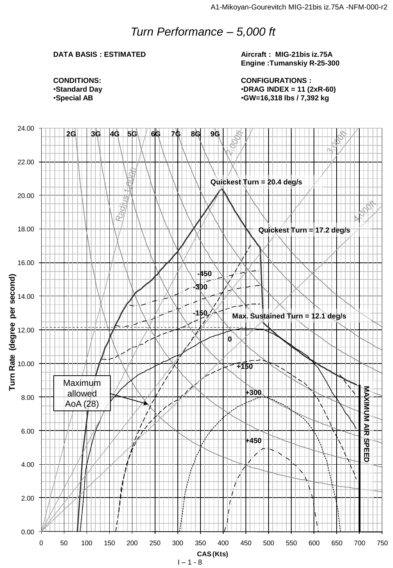## *Turn Performance – 5,000 ft*

#### **DATA BASIS : ESTIMATED**

**Aircraft : MIG-21bis iz.75A Engine :Tumanskiy R-25-300**

**CONFIGURATIONS :** •**DRAG INDEX = 11 (2xR-60)** •**GW=16,318 lbs / 7,392 kg**

**CONDITIONS:** •**Standard Day** •**Special AB**

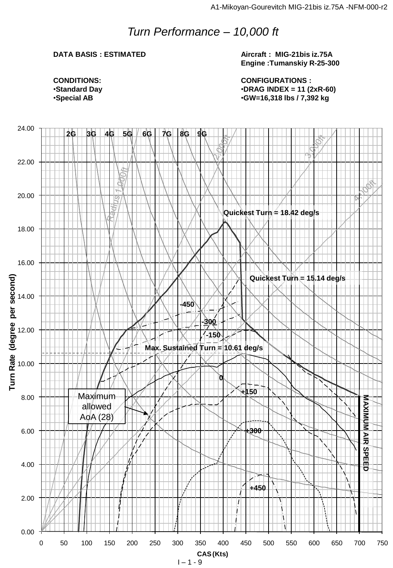## *Turn Performance – 10,000 ft*

#### **DATA BASIS : ESTIMATED**

**Aircraft : MIG-21bis iz.75A Engine :Tumanskiy R-25-300**

**CONFIGURATIONS :** •**DRAG INDEX = 11 (2xR-60)** •**GW=16,318 lbs / 7,392 kg**

**CONDITIONS:** •**Standard Day** •**Special AB**

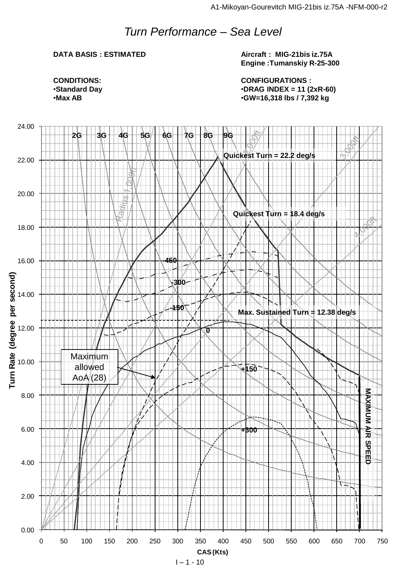## *Turn Performance – Sea Level*

#### **DATA BASIS : ESTIMATED**

**Aircraft : MIG-21bis iz.75A Engine :Tumanskiy R-25-300**

**CONFIGURATIONS :** •**DRAG INDEX = 11 (2xR-60)** •**GW=16,318 lbs / 7,392 kg**

**CONDITIONS:** •**Standard Day** •**Max AB**

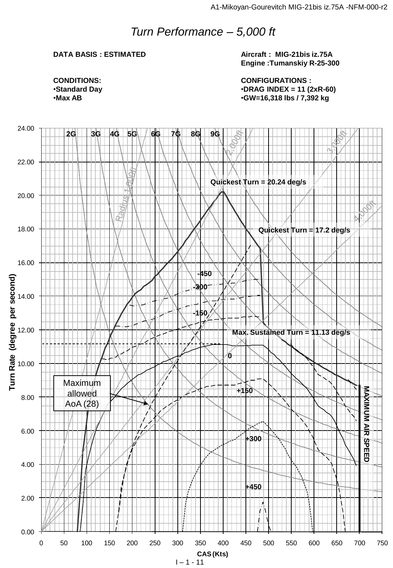## *Turn Performance – 5,000 ft*

#### **DATA BASIS : ESTIMATED**

**Aircraft : MIG-21bis iz.75A Engine :Tumanskiy R-25-300**

**CONFIGURATIONS :** •**DRAG INDEX = 11 (2xR-60)** •**GW=16,318 lbs / 7,392 kg**

**CONDITIONS:** •**Standard Day** •**Max AB**

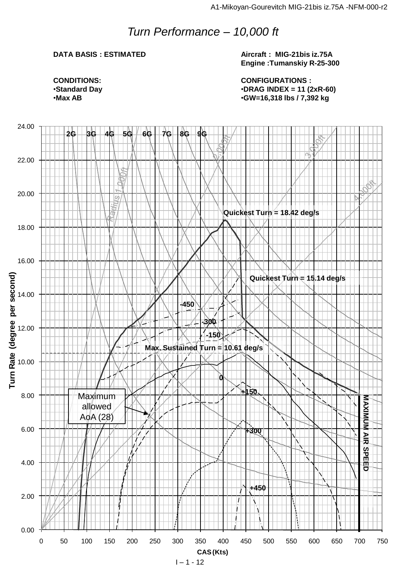## *Turn Performance – 10,000 ft*

#### **DATA BASIS : ESTIMATED**

**Aircraft : MIG-21bis iz.75A Engine :Tumanskiy R-25-300**

**CONFIGURATIONS :** •**DRAG INDEX = 11 (2xR-60)** •**GW=16,318 lbs / 7,392 kg**





 $1 - 1 - 12$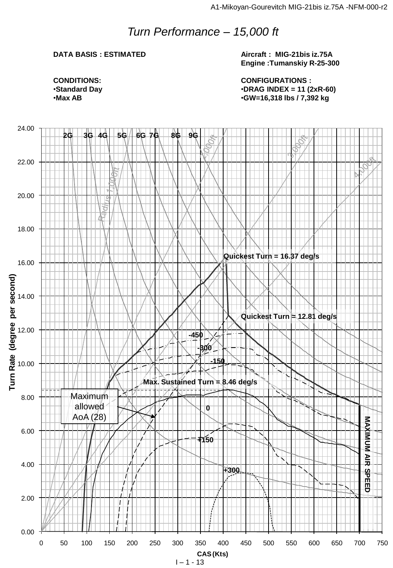## *Turn Performance – 15,000 ft*

#### **DATA BASIS : ESTIMATED**

**Aircraft : MIG-21bis iz.75A Engine :Tumanskiy R-25-300**

**CONFIGURATIONS :** •**DRAG INDEX = 11 (2xR-60)** •**GW=16,318 lbs / 7,392 kg**

**CONDITIONS:** •**Standard Day** •**Max AB**

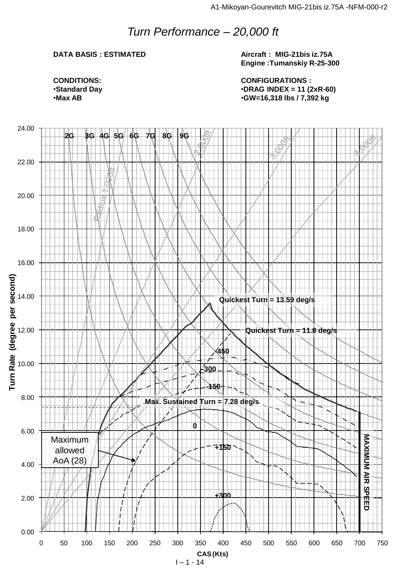## *Turn Performance – 20,000 ft*

#### **DATA BASIS : ESTIMATED**

**Aircraft : MIG-21bis iz.75A Engine :Tumanskiy R-25-300**

**CONFIGURATIONS :** •**DRAG INDEX = 11 (2xR-60)** •**GW=16,318 lbs / 7,392 kg**

**CONDITIONS:** •**Standard Day** •**Max AB**



 $1 - 1 - 14$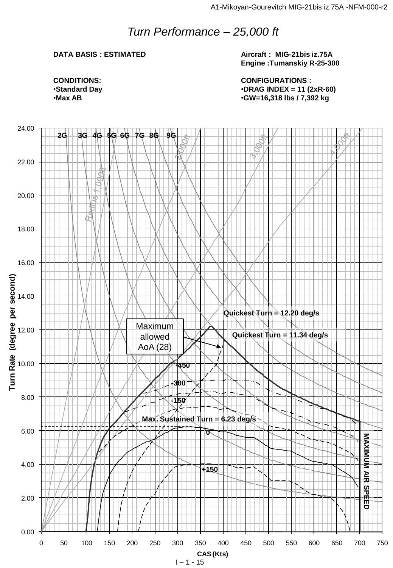## *Turn Performance – 25,000 ft*

#### **DATA BASIS : ESTIMATED**

**Aircraft : MIG-21bis iz.75A Engine :Tumanskiy R-25-300**

**CONDITIONS:** •**Standard Day** •**Max AB**

**CONFIGURATIONS :** •**DRAG INDEX = 11 (2xR-60)** •**GW=16,318 lbs / 7,392 kg**



 $1 - 1 - 15$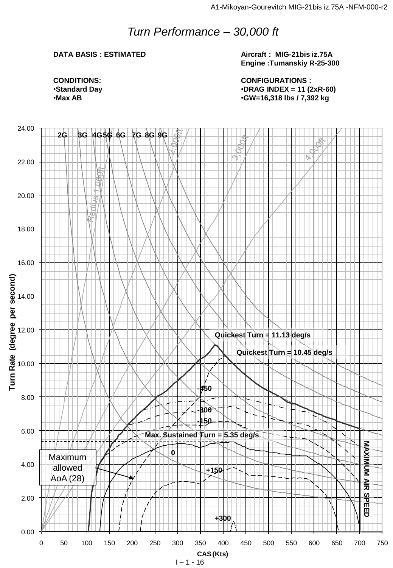## *Turn Performance – 30,000 ft*

#### **DATA BASIS : ESTIMATED**

**Aircraft : MIG-21bis iz.75A Engine :Tumanskiy R-25-300**

**CONFIGURATIONS :** •**DRAG INDEX = 11 (2xR-60)** •**GW=16,318 lbs / 7,392 kg**

**CONDITIONS:** •**Standard Day** •**Max AB**

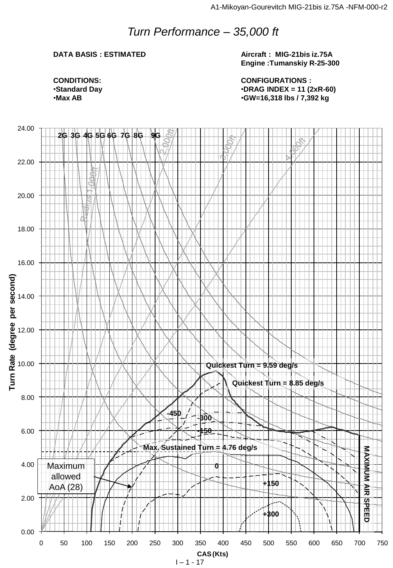## *Turn Performance – 35,000 ft*

#### **DATA BASIS : ESTIMATED**

**Aircraft : MIG-21bis iz.75A Engine :Tumanskiy R-25-300**

**CONDITIONS:** •**Standard Day** •**Max AB**

**CONFIGURATIONS :** •**DRAG INDEX = 11 (2xR-60)** •**GW=16,318 lbs / 7,392 kg**



 $1 - 1 - 17$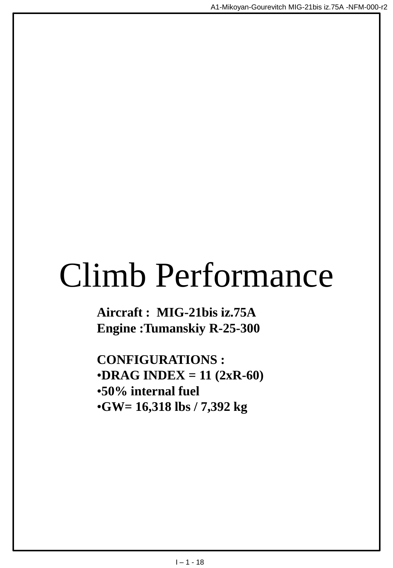## Climb Performance

**Aircraft : MIG-21bis iz.75A Engine :Tumanskiy R-25-300**

**CONFIGURATIONS :** •**DRAG INDEX = 11 (2xR-60)** •**50% internal fuel** •**GW= 16,318 lbs / 7,392 kg**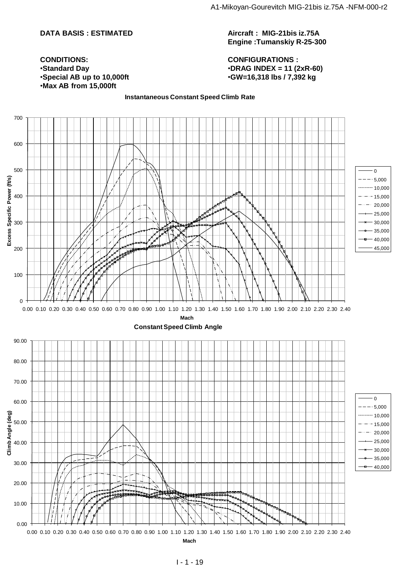#### **DATA BASIS : ESTIMATED**

**Aircraft : MIG-21bis iz.75A Engine :Tumanskiy R-25-300**

**CONFIGURATIONS :** •**DRAG INDEX = 11 (2xR-60)** •**GW=16,318 lbs / 7,392 kg**

**CONDITIONS:** •**Standard Day** •**Special AB up to 10,000ft** •**Max AB from 15,000ft**

#### **Instantaneous Constant Speed Climb Rate**

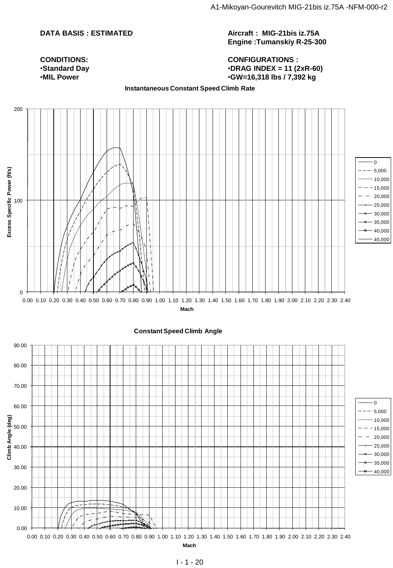#### **DATA BASIS : ESTIMATED**

**Aircraft : MIG-21bis iz.75A Engine :Tumanskiy R-25-300**

#### **CONFIGURATIONS :** •**DRAG INDEX = 11 (2xR-60)** •**GW=16,318 lbs / 7,392 kg**

**CONDITIONS:** •**Standard Day** •**MIL Power**

**Instantaneous Constant Speed Climb Rate**



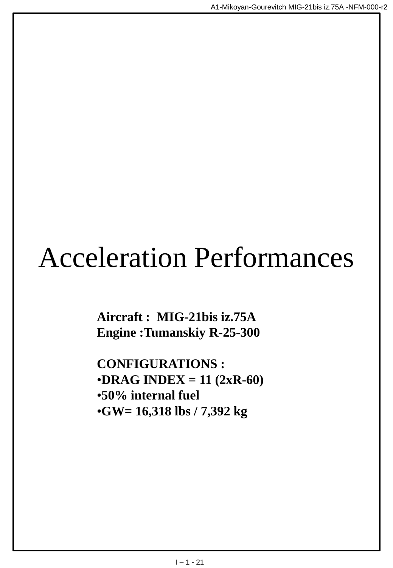## Acceleration Performances

**Aircraft : MIG-21bis iz.75A Engine :Tumanskiy R-25-300**

**CONFIGURATIONS :**  $\cdot$ **DRAG INDEX** = 11 (2xR-60) •**50% internal fuel** •**GW= 16,318 lbs / 7,392 kg**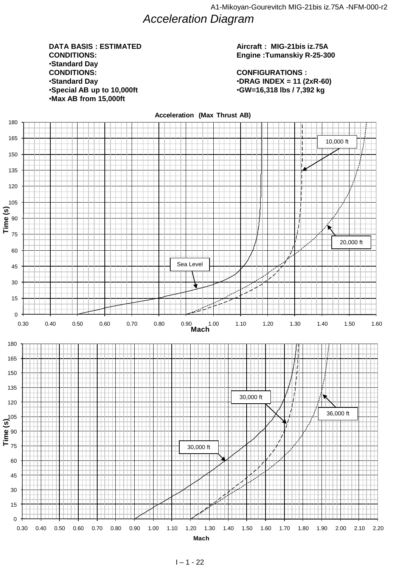*Acceleration Diagram* 

#### 0 10,000 20,000 •**Max AB from 15,000ft DATA BASIS : ESTIMATED CONDITIONS:** •**Standard Day CONDITIONS:** •**Standard Day** •**Special AB up to 10,000ft**

#### **Aircraft : MIG-21bis iz.75A Engine :Tumanskiy R-25-300**

**CONFIGURATIONS :** •**DRAG INDEX = 11 (2xR-60)** •**GW=16,318 lbs / 7,392 kg**

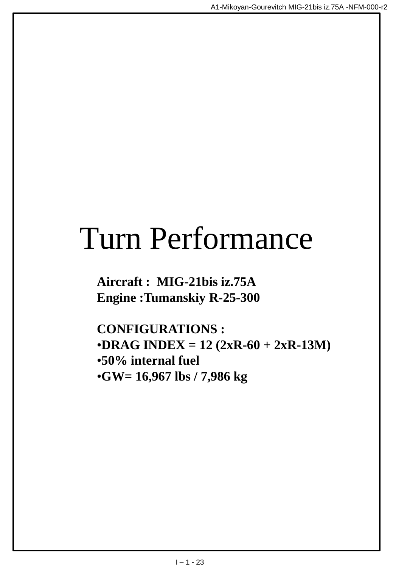## Turn Performance

**Aircraft : MIG-21bis iz.75A Engine :Tumanskiy R-25-300**

**CONFIGURATIONS :** •**DRAG INDEX** =  $12 (2xR-60 + 2xR-13M)$ •**50% internal fuel** •**GW= 16,967 lbs / 7,986 kg**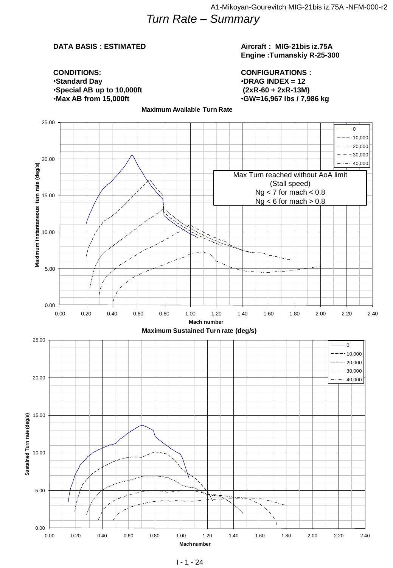## *Turn Rate – Summary*

#### **DATA BASIS : ESTIMATED**

#### **Aircraft : MIG-21bis iz.75A Engine :Tumanskiy R-25-300**

**CONDITIONS:** •**Standard Day** •**Special AB up to 10,000ft** •**Max AB from 15,000ft**

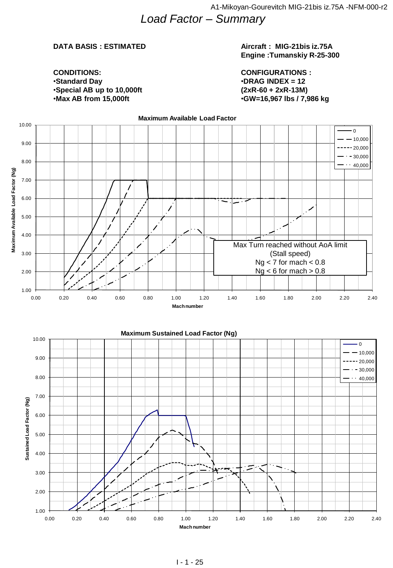*Load Factor – Summary* 

#### **DATA BASIS : ESTIMATED**

#### **Aircraft : MIG-21bis iz.75A Engine :Tumanskiy R-25-300**

**CONDITIONS:** •**Standard Day** •**Special AB up to 10,000ft** •**Max AB from 15,000ft**

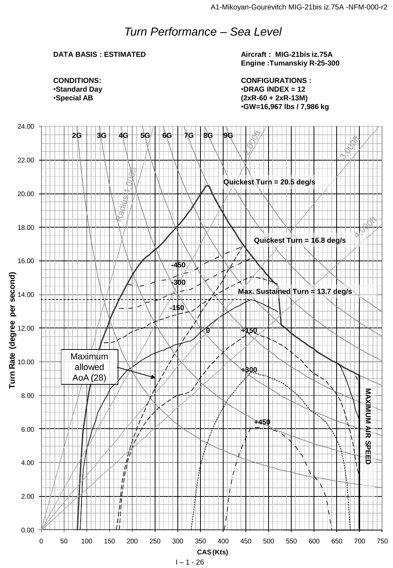## *Turn Performance – Sea Level*

#### **DATA BASIS : ESTIMATED**

**Aircraft : MIG-21bis iz.75A Engine :Tumanskiy R-25-300**

**CONDITIONS:** •**Standard Day** •**Special AB**

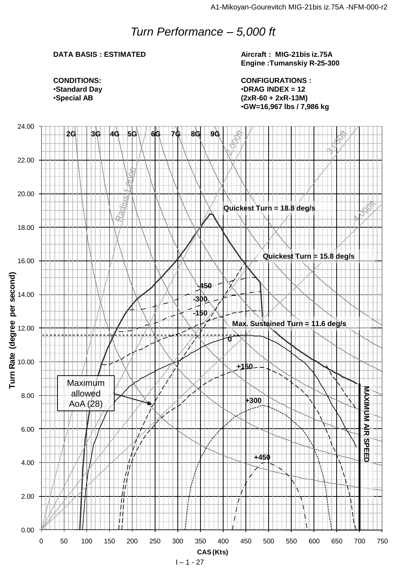### *Turn Performance – 5,000 ft*

#### **DATA BASIS : ESTIMATED**

**Aircraft : MIG-21bis iz.75A Engine :Tumanskiy R-25-300**

**CONDITIONS:** •**Standard Day** •**Special AB**

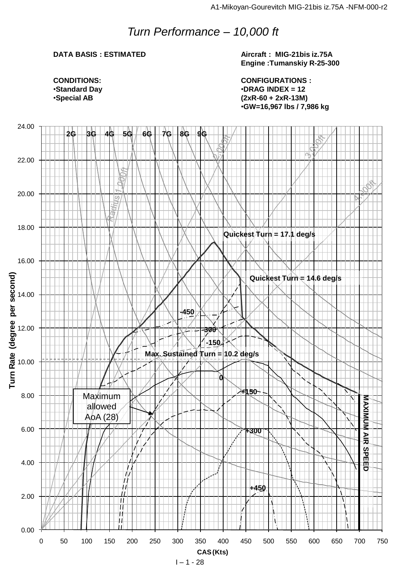## *Turn Performance – 10,000 ft*

#### **DATA BASIS : ESTIMATED**

**Aircraft : MIG-21bis iz.75A Engine :Tumanskiy R-25-300**

**CONDITIONS:** •**Standard Day** •**Special AB**

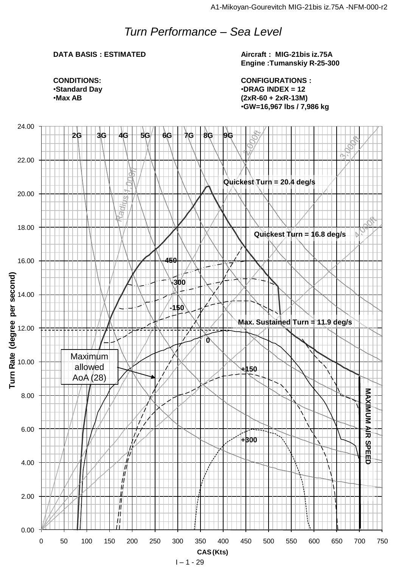## *Turn Performance – Sea Level*

#### **DATA BASIS : ESTIMATED**

**Aircraft : MIG-21bis iz.75A Engine :Tumanskiy R-25-300**

**CONDITIONS:** •**Standard Day** •**Max AB**

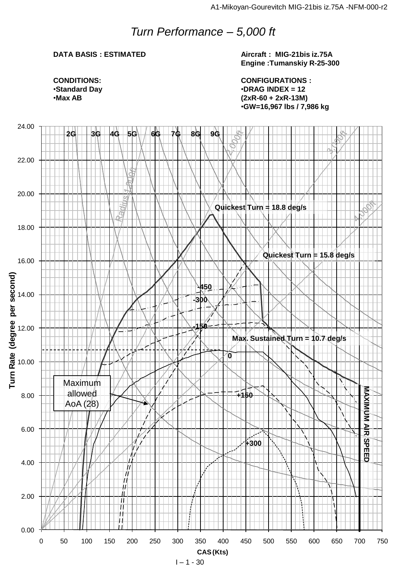### *Turn Performance – 5,000 ft*

#### **DATA BASIS : ESTIMATED**

**Aircraft : MIG-21bis iz.75A Engine :Tumanskiy R-25-300**

**CONDITIONS:** •**Standard Day** •**Max AB**

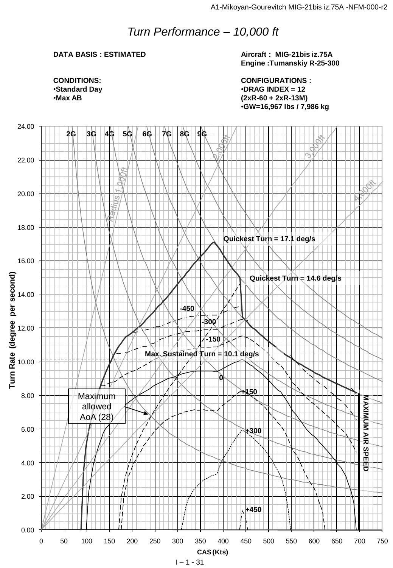## *Turn Performance – 10,000 ft*

#### **DATA BASIS : ESTIMATED**

**Aircraft : MIG-21bis iz.75A Engine :Tumanskiy R-25-300**

**CONDITIONS:** •**Standard Day** •**Max AB**

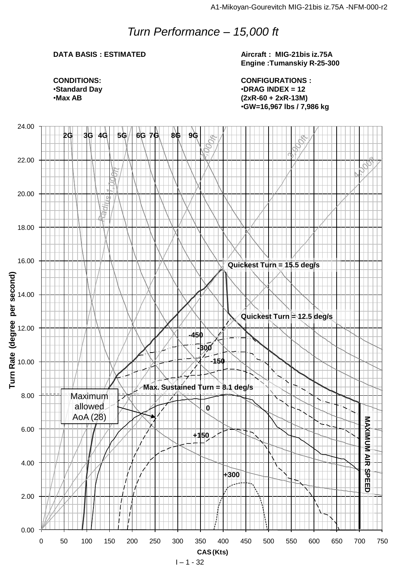## *Turn Performance – 15,000 ft*

#### **DATA BASIS : ESTIMATED**

**Aircraft : MIG-21bis iz.75A Engine :Tumanskiy R-25-300**

**CONDITIONS:** •**Standard Day** •**Max AB**

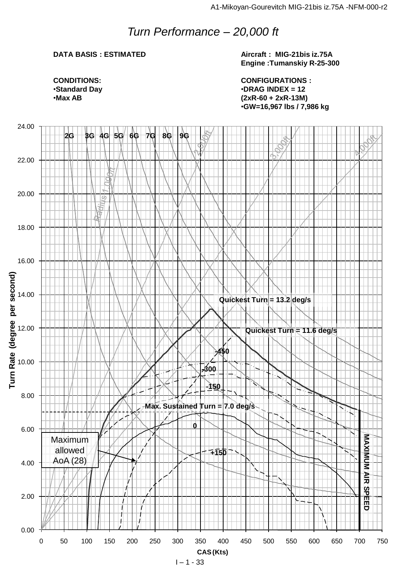## *Turn Performance – 20,000 ft*

#### **DATA BASIS : ESTIMATED**

**Aircraft : MIG-21bis iz.75A Engine :Tumanskiy R-25-300**

**CONDITIONS:** •**Standard Day** •**Max AB**

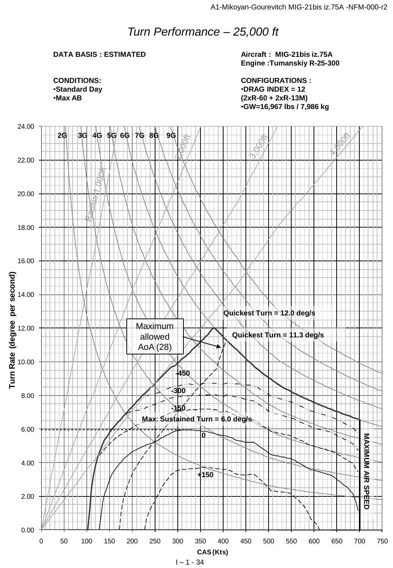## *Turn Performance – 25,000 ft*

#### **DATA BASIS : ESTIMATED**

**Aircraft : MIG-21bis iz.75A Engine :Tumanskiy R-25-300**

**CONDITIONS:** •**Standard Day** •**Max AB**

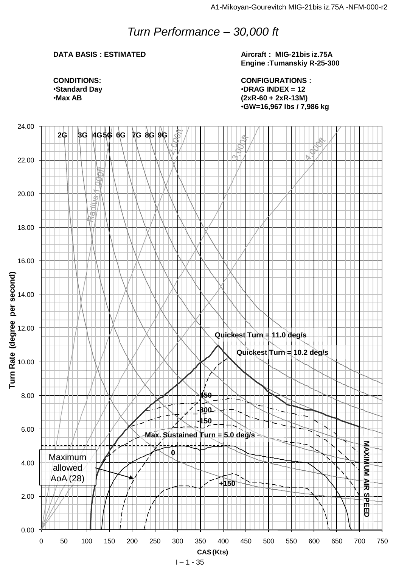## *Turn Performance – 30,000 ft*

#### **DATA BASIS : ESTIMATED**

**Aircraft : MIG-21bis iz.75A Engine :Tumanskiy R-25-300**

**CONDITIONS:** •**Standard Day** •**Max AB**

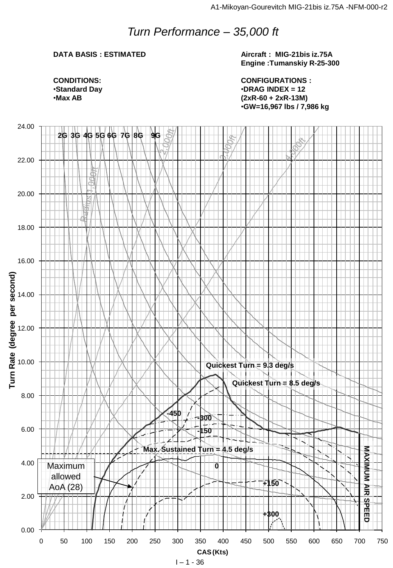## *Turn Performance – 35,000 ft*

#### **DATA BASIS : ESTIMATED**

**Aircraft : MIG-21bis iz.75A Engine :Tumanskiy R-25-300**

**CONDITIONS:** •**Standard Day** •**Max AB**

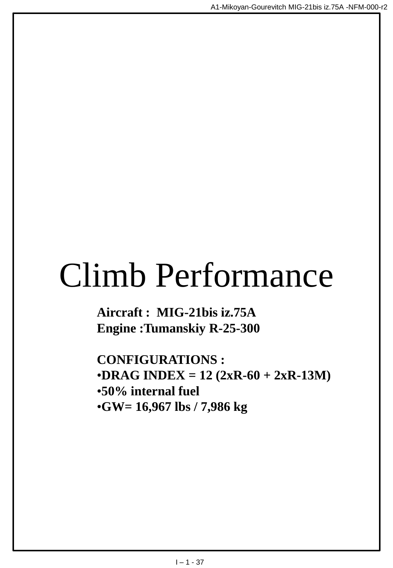## Climb Performance

**Aircraft : MIG-21bis iz.75A Engine :Tumanskiy R-25-300**

**CONFIGURATIONS :**  $\cdot$ **DRAG INDEX** = 12 (2xR-60 + 2xR-13M) •**50% internal fuel** •**GW= 16,967 lbs / 7,986 kg**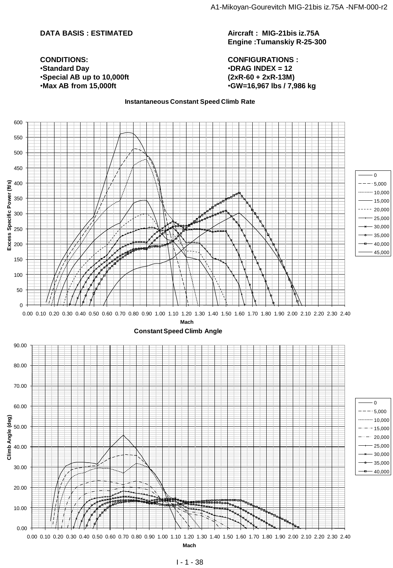#### **DATA BASIS : ESTIMATED**

#### **Aircraft : MIG-21bis iz.75A Engine :Tumanskiy R-25-300**

**CONFIGURATIONS :** •**DRAG INDEX = 12 (2xR-60 + 2xR-13M)** •**GW=16,967 lbs / 7,986 kg**

#### **CONDITIONS:** •**Standard Day** •**Special AB up to 10,000ft** •**Max AB from 15,000ft**

#### **Instantaneous Constant Speed Climb Rate**

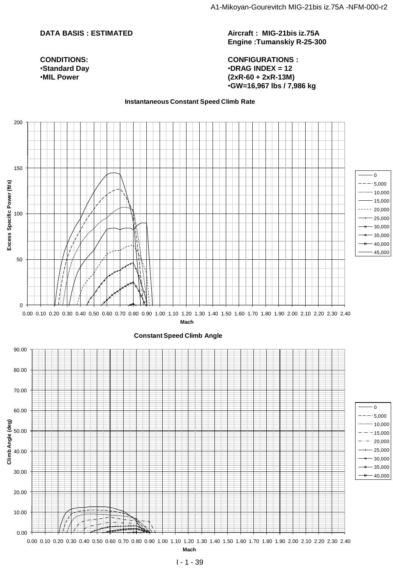#### **DATA BASIS : ESTIMATED**

#### **CONDITIONS:** •**Standard Day** •**MIL Power**

**Aircraft : MIG-21bis iz.75A Engine :Tumanskiy R-25-300**

#### **CONFIGURATIONS :** •**DRAG INDEX = 12 (2xR-60 + 2xR-13M)** •**GW=16,967 lbs / 7,986 kg**

#### **Instantaneous Constant Speed Climb Rate**

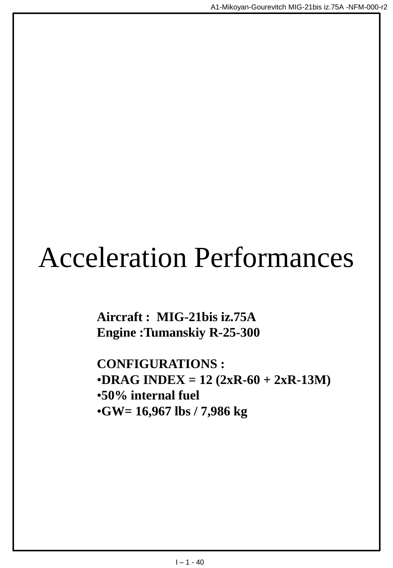## Acceleration Performances

**Aircraft : MIG-21bis iz.75A Engine :Tumanskiy R-25-300**

**CONFIGURATIONS :**  $\cdot$ **DRAG INDEX** = 12 (2xR-60 + 2xR-13M) •**50% internal fuel** •**GW= 16,967 lbs / 7,986 kg**